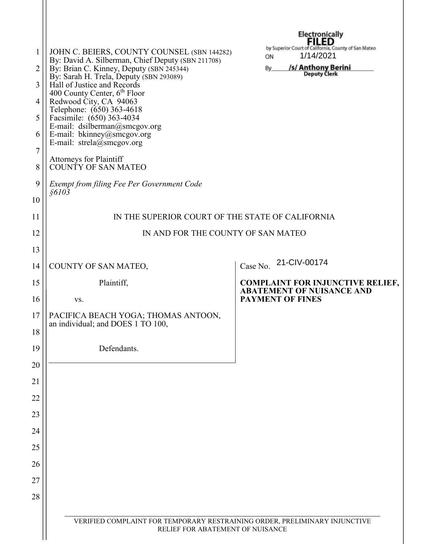| 1<br>2<br>3<br>4<br>5<br>6<br>$\overline{7}$<br>8 | JOHN C. BEIERS, COUNTY COUNSEL (SBN 144282)<br>By: David A. Silberman, Chief Deputy (SBN 211708)<br>By: Brian C. Kinney, Deputy (SBN 245344)<br>By: Sarah H. Trela, Deputy (SBN 293089)<br>Hall of Justice and Records<br>400 County Center, 6 <sup>th</sup> Floor<br>Redwood City, CA 94063<br>Telephone: (650) 363-4618<br>Facsimile: (650) 363-4034<br>E-mail: dsilberman@smcgov.org<br>E-mail: bkinney@smcgov.org<br>E-mail: $strela(\hat{\omega})$ smcgov.org<br>Attorneys for Plaintiff<br>COUNTY OF SAN MATEO | Electronically<br>FILED<br>by Superior Court of California, County of San Mateo<br>1/14/2021<br>ON<br>/s/ Anthony Berini<br>By<br><b>Deputy Clerk</b> |  |  |  |
|---------------------------------------------------|----------------------------------------------------------------------------------------------------------------------------------------------------------------------------------------------------------------------------------------------------------------------------------------------------------------------------------------------------------------------------------------------------------------------------------------------------------------------------------------------------------------------|-------------------------------------------------------------------------------------------------------------------------------------------------------|--|--|--|
| 9                                                 | Exempt from filing Fee Per Government Code                                                                                                                                                                                                                                                                                                                                                                                                                                                                           |                                                                                                                                                       |  |  |  |
| 10                                                | \$6103                                                                                                                                                                                                                                                                                                                                                                                                                                                                                                               |                                                                                                                                                       |  |  |  |
| 11                                                | IN THE SUPERIOR COURT OF THE STATE OF CALIFORNIA                                                                                                                                                                                                                                                                                                                                                                                                                                                                     |                                                                                                                                                       |  |  |  |
| 12                                                | IN AND FOR THE COUNTY OF SAN MATEO                                                                                                                                                                                                                                                                                                                                                                                                                                                                                   |                                                                                                                                                       |  |  |  |
| 13                                                |                                                                                                                                                                                                                                                                                                                                                                                                                                                                                                                      |                                                                                                                                                       |  |  |  |
| 14                                                | COUNTY OF SAN MATEO,                                                                                                                                                                                                                                                                                                                                                                                                                                                                                                 | 21-CIV-00174<br>Case No.                                                                                                                              |  |  |  |
| 15                                                | Plaintiff,                                                                                                                                                                                                                                                                                                                                                                                                                                                                                                           | <b>COMPLAINT FOR INJUNCTIVE RELIEF,</b><br><b>ABATEMENT OF NUISANCE AND</b>                                                                           |  |  |  |
|                                                   |                                                                                                                                                                                                                                                                                                                                                                                                                                                                                                                      |                                                                                                                                                       |  |  |  |
| 16                                                | VS.                                                                                                                                                                                                                                                                                                                                                                                                                                                                                                                  | <b>PAYMENT OF FINES</b>                                                                                                                               |  |  |  |
| 17<br>18                                          | PACIFICA BEACH YOGA; THOMAS ANTOON,<br>an individual; and DOES 1 TO 100,                                                                                                                                                                                                                                                                                                                                                                                                                                             |                                                                                                                                                       |  |  |  |
| 19                                                | Defendants.                                                                                                                                                                                                                                                                                                                                                                                                                                                                                                          |                                                                                                                                                       |  |  |  |
| 20                                                |                                                                                                                                                                                                                                                                                                                                                                                                                                                                                                                      |                                                                                                                                                       |  |  |  |
| 21                                                |                                                                                                                                                                                                                                                                                                                                                                                                                                                                                                                      |                                                                                                                                                       |  |  |  |
| 22                                                |                                                                                                                                                                                                                                                                                                                                                                                                                                                                                                                      |                                                                                                                                                       |  |  |  |
| 23                                                |                                                                                                                                                                                                                                                                                                                                                                                                                                                                                                                      |                                                                                                                                                       |  |  |  |
| 24                                                |                                                                                                                                                                                                                                                                                                                                                                                                                                                                                                                      |                                                                                                                                                       |  |  |  |
| 25                                                |                                                                                                                                                                                                                                                                                                                                                                                                                                                                                                                      |                                                                                                                                                       |  |  |  |
| 26                                                |                                                                                                                                                                                                                                                                                                                                                                                                                                                                                                                      |                                                                                                                                                       |  |  |  |
| 27                                                |                                                                                                                                                                                                                                                                                                                                                                                                                                                                                                                      |                                                                                                                                                       |  |  |  |
| 28                                                |                                                                                                                                                                                                                                                                                                                                                                                                                                                                                                                      |                                                                                                                                                       |  |  |  |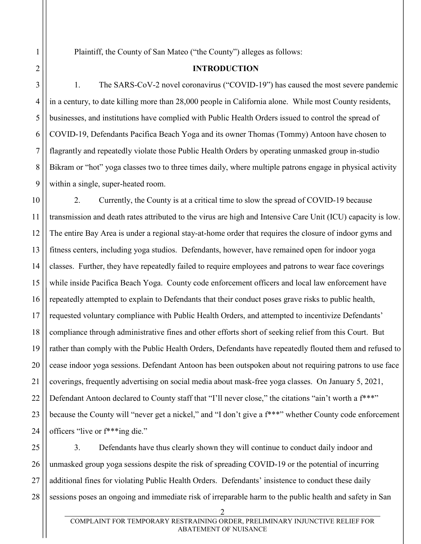Plaintiff, the County of San Mateo ("the County") alleges as follows:

### **INTRODUCTION**

1. The SARS-CoV-2 novel coronavirus ("COVID-19") has caused the most severe pandemic in a century, to date killing more than 28,000 people in California alone. While most County residents, businesses, and institutions have complied with Public Health Orders issued to control the spread of COVID-19, Defendants Pacifica Beach Yoga and its owner Thomas (Tommy) Antoon have chosen to flagrantly and repeatedly violate those Public Health Orders by operating unmasked group in-studio Bikram or "hot" yoga classes two to three times daily, where multiple patrons engage in physical activity within a single, super-heated room.

2. Currently, the County is at a critical time to slow the spread of COVID-19 because transmission and death rates attributed to the virus are high and Intensive Care Unit (ICU) capacity is low. The entire Bay Area is under a regional stay-at-home order that requires the closure of indoor gyms and fitness centers, including yoga studios. Defendants, however, have remained open for indoor yoga classes. Further, they have repeatedly failed to require employees and patrons to wear face coverings while inside Pacifica Beach Yoga. County code enforcement officers and local law enforcement have repeatedly attempted to explain to Defendants that their conduct poses grave risks to public health, requested voluntary compliance with Public Health Orders, and attempted to incentivize Defendants' compliance through administrative fines and other efforts short of seeking relief from this Court. But rather than comply with the Public Health Orders, Defendants have repeatedly flouted them and refused to cease indoor yoga sessions. Defendant Antoon has been outspoken about not requiring patrons to use face coverings, frequently advertising on social media about mask-free yoga classes. On January 5, 2021, Defendant Antoon declared to County staff that "I'll never close," the citations "ain't worth a f<sup>\*\*\*"</sup> because the County will "never get a nickel," and "I don't give a f\*\*\*" whether County code enforcement officers "live or f\*\*\*ing die."

28 3. Defendants have thus clearly shown they will continue to conduct daily indoor and unmasked group yoga sessions despite the risk of spreading COVID-19 or the potential of incurring additional fines for violating Public Health Orders. Defendants' insistence to conduct these daily sessions poses an ongoing and immediate risk of irreparable harm to the public health and safety in San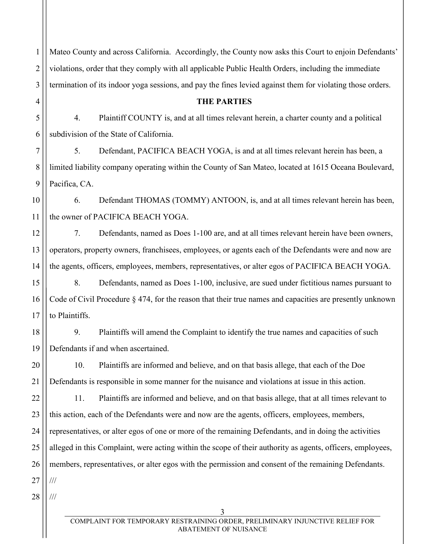1 2 3 Mateo County and across California. Accordingly, the County now asks this Court to enjoin Defendants' violations, order that they comply with all applicable Public Health Orders, including the immediate termination of its indoor yoga sessions, and pay the fines levied against them for violating those orders.

**THE PARTIES**

5 6 4. Plaintiff COUNTY is, and at all times relevant herein, a charter county and a political subdivision of the State of California.

7 8 9 5. Defendant, PACIFICA BEACH YOGA, is and at all times relevant herein has been, a limited liability company operating within the County of San Mateo, located at 1615 Oceana Boulevard, Pacifica, CA.

10 11 6. Defendant THOMAS (TOMMY) ANTOON, is, and at all times relevant herein has been, the owner of PACIFICA BEACH YOGA.

7. Defendants, named as Does 1-100 are, and at all times relevant herein have been owners, operators, property owners, franchisees, employees, or agents each of the Defendants were and now are the agents, officers, employees, members, representatives, or alter egos of PACIFICA BEACH YOGA.

15 16 17 8. Defendants, named as Does 1-100, inclusive, are sued under fictitious names pursuant to Code of Civil Procedure § 474, for the reason that their true names and capacities are presently unknown to Plaintiffs.

18 19 9. Plaintiffs will amend the Complaint to identify the true names and capacities of such Defendants if and when ascertained.

20 21 10. Plaintiffs are informed and believe, and on that basis allege, that each of the Doe Defendants is responsible in some manner for the nuisance and violations at issue in this action.

22 23 24 25 26 11. Plaintiffs are informed and believe, and on that basis allege, that at all times relevant to this action, each of the Defendants were and now are the agents, officers, employees, members, representatives, or alter egos of one or more of the remaining Defendants, and in doing the activities alleged in this Complaint, were acting within the scope of their authority as agents, officers, employees, members, representatives, or alter egos with the permission and consent of the remaining Defendants.

27 ///

4

12

13

14

28 ///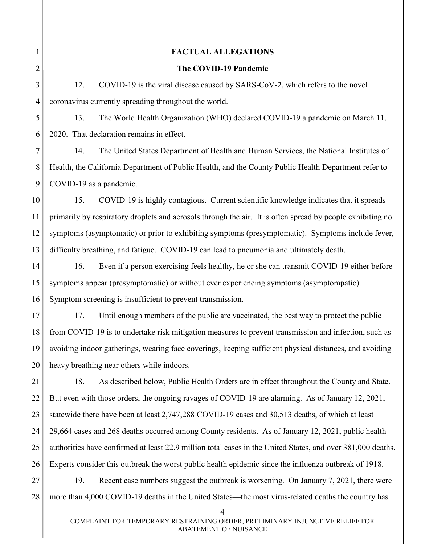| 1              | <b>FACTUAL ALLEGATIONS</b>                                                                                  |  |  |
|----------------|-------------------------------------------------------------------------------------------------------------|--|--|
| 2              | The COVID-19 Pandemic                                                                                       |  |  |
| 3              | 12.<br>COVID-19 is the viral disease caused by SARS-CoV-2, which refers to the novel                        |  |  |
| $\overline{4}$ | coronavirus currently spreading throughout the world.                                                       |  |  |
| 5              | The World Health Organization (WHO) declared COVID-19 a pandemic on March 11,<br>13.                        |  |  |
| 6              | 2020. That declaration remains in effect.                                                                   |  |  |
| 7              | 14.<br>The United States Department of Health and Human Services, the National Institutes of                |  |  |
| 8              | Health, the California Department of Public Health, and the County Public Health Department refer to        |  |  |
| 9              | COVID-19 as a pandemic.                                                                                     |  |  |
| 10             | 15.<br>COVID-19 is highly contagious. Current scientific knowledge indicates that it spreads                |  |  |
| 11             | primarily by respiratory droplets and aerosols through the air. It is often spread by people exhibiting no  |  |  |
| 12             | symptoms (asymptomatic) or prior to exhibiting symptoms (presymptomatic). Symptoms include fever,           |  |  |
| 13             | difficulty breathing, and fatigue. COVID-19 can lead to pneumonia and ultimately death.                     |  |  |
| 14             | Even if a person exercising feels healthy, he or she can transmit COVID-19 either before<br>16.             |  |  |
| 15             | symptoms appear (presymptomatic) or without ever experiencing symptoms (asymptompatic).                     |  |  |
| 16             | Symptom screening is insufficient to prevent transmission.                                                  |  |  |
| 17             | 17.<br>Until enough members of the public are vaccinated, the best way to protect the public                |  |  |
| 18             | from COVID-19 is to undertake risk mitigation measures to prevent transmission and infection, such as       |  |  |
| 19             | avoiding indoor gatherings, wearing face coverings, keeping sufficient physical distances, and avoiding     |  |  |
| 20             | heavy breathing near others while indoors.                                                                  |  |  |
| 21             | As described below, Public Health Orders are in effect throughout the County and State.<br>18.              |  |  |
| 22             | But even with those orders, the ongoing ravages of COVID-19 are alarming. As of January 12, 2021,           |  |  |
| 23             | statewide there have been at least 2,747,288 COVID-19 cases and 30,513 deaths, of which at least            |  |  |
| 24             | 29,664 cases and 268 deaths occurred among County residents. As of January 12, 2021, public health          |  |  |
| 25             | authorities have confirmed at least 22.9 million total cases in the United States, and over 381,000 deaths. |  |  |
| 26             | Experts consider this outbreak the worst public health epidemic since the influenza outbreak of 1918.       |  |  |
| 27             | Recent case numbers suggest the outbreak is worsening. On January 7, 2021, there were<br>19.                |  |  |
| 28             | more than 4,000 COVID-19 deaths in the United States—the most virus-related deaths the country has          |  |  |
|                | 4                                                                                                           |  |  |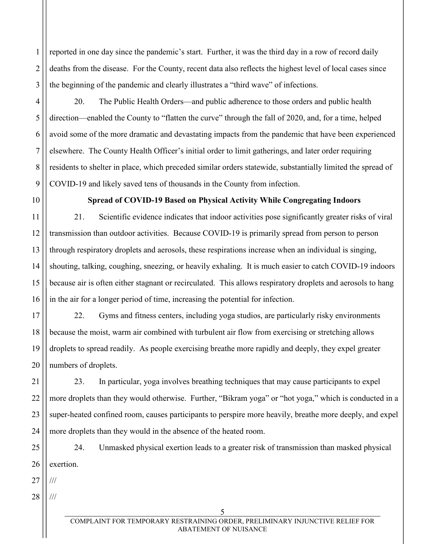reported in one day since the pandemic's start. Further, it was the third day in a row of record daily deaths from the disease. For the County, recent data also reflects the highest level of local cases since the beginning of the pandemic and clearly illustrates a "third wave" of infections.

20. The Public Health Orders—and public adherence to those orders and public health direction—enabled the County to "flatten the curve" through the fall of 2020, and, for a time, helped avoid some of the more dramatic and devastating impacts from the pandemic that have been experienced elsewhere. The County Health Officer's initial order to limit gatherings, and later order requiring residents to shelter in place, which preceded similar orders statewide, substantially limited the spread of COVID-19 and likely saved tens of thousands in the County from infection.

1

2

3

4

5

6

7

8

9

10

11

12

13

14

15

16

## **Spread of COVID-19 Based on Physical Activity While Congregating Indoors**

21. Scientific evidence indicates that indoor activities pose significantly greater risks of viral transmission than outdoor activities. Because COVID-19 is primarily spread from person to person through respiratory droplets and aerosols, these respirations increase when an individual is singing, shouting, talking, coughing, sneezing, or heavily exhaling. It is much easier to catch COVID-19 indoors because air is often either stagnant or recirculated. This allows respiratory droplets and aerosols to hang in the air for a longer period of time, increasing the potential for infection.

17 18 19 20 22. Gyms and fitness centers, including yoga studios, are particularly risky environments because the moist, warm air combined with turbulent air flow from exercising or stretching allows droplets to spread readily. As people exercising breathe more rapidly and deeply, they expel greater numbers of droplets.

21 22 23 24 23. In particular, yoga involves breathing techniques that may cause participants to expel more droplets than they would otherwise. Further, "Bikram yoga" or "hot yoga," which is conducted in a super-heated confined room, causes participants to perspire more heavily, breathe more deeply, and expel more droplets than they would in the absence of the heated room.

25 26 24. Unmasked physical exertion leads to a greater risk of transmission than masked physical exertion.

27 ///

28 ///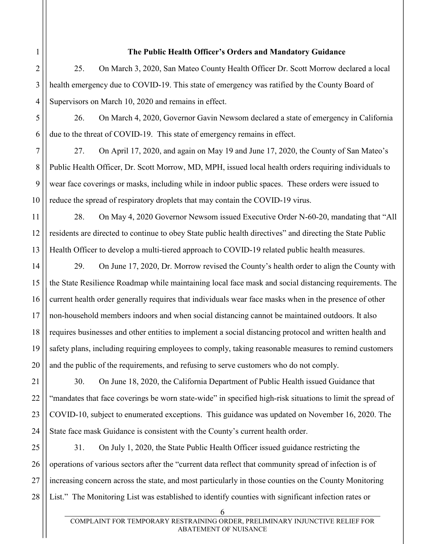# 1 2

3

4

5

6

7

8

9

10

11

12

13

## **The Public Health Officer's Orders and Mandatory Guidance**

25. On March 3, 2020, San Mateo County Health Officer Dr. Scott Morrow declared a local health emergency due to COVID-19. This state of emergency was ratified by the County Board of Supervisors on March 10, 2020 and remains in effect.

26. On March 4, 2020, Governor Gavin Newsom declared a state of emergency in California due to the threat of COVID-19. This state of emergency remains in effect.

27. On April 17, 2020, and again on May 19 and June 17, 2020, the County of San Mateo's Public Health Officer, Dr. Scott Morrow, MD, MPH, issued local health orders requiring individuals to wear face coverings or masks, including while in indoor public spaces. These orders were issued to reduce the spread of respiratory droplets that may contain the COVID-19 virus.

28. On May 4, 2020 Governor Newsom issued Executive Order N-60-20, mandating that "All residents are directed to continue to obey State public health directives" and directing the State Public Health Officer to develop a multi-tiered approach to COVID-19 related public health measures.

14 15 16 17 18 19 20 29. On June 17, 2020, Dr. Morrow revised the County's health order to align the County with the State Resilience Roadmap while maintaining local face mask and social distancing requirements. The current health order generally requires that individuals wear face masks when in the presence of other non-household members indoors and when social distancing cannot be maintained outdoors. It also requires businesses and other entities to implement a social distancing protocol and written health and safety plans, including requiring employees to comply, taking reasonable measures to remind customers and the public of the requirements, and refusing to serve customers who do not comply.

21 22 23 24 30. On June 18, 2020, the California Department of Public Health issued Guidance that "mandates that face coverings be worn state-wide" in specified high-risk situations to limit the spread of COVID-10, subject to enumerated exceptions. This guidance was updated on November 16, 2020. The State face mask Guidance is consistent with the County's current health order.

25 26 27 28 31. On July 1, 2020, the State Public Health Officer issued guidance restricting the operations of various sectors after the "current data reflect that community spread of infection is of increasing concern across the state, and most particularly in those counties on the County Monitoring List." The Monitoring List was established to identify counties with significant infection rates or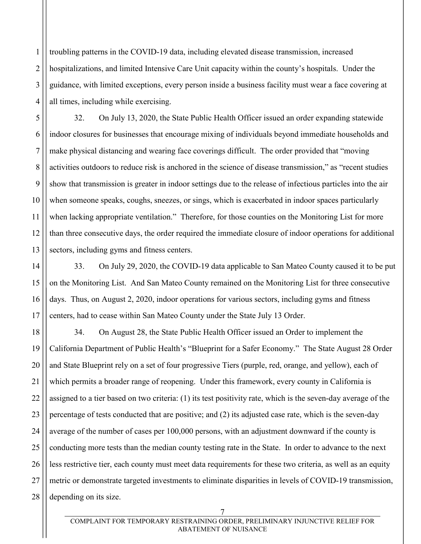2 4 troubling patterns in the COVID-19 data, including elevated disease transmission, increased hospitalizations, and limited Intensive Care Unit capacity within the county's hospitals. Under the guidance, with limited exceptions, every person inside a business facility must wear a face covering at all times, including while exercising.

1

3

5

6

7

8

9

10

11

12

13

32. On July 13, 2020, the State Public Health Officer issued an order expanding statewide indoor closures for businesses that encourage mixing of individuals beyond immediate households and make physical distancing and wearing face coverings difficult. The order provided that "moving activities outdoors to reduce risk is anchored in the science of disease transmission," as "recent studies show that transmission is greater in indoor settings due to the release of infectious particles into the air when someone speaks, coughs, sneezes, or sings, which is exacerbated in indoor spaces particularly when lacking appropriate ventilation." Therefore, for those counties on the Monitoring List for more than three consecutive days, the order required the immediate closure of indoor operations for additional sectors, including gyms and fitness centers.

14 15 16 17 33. On July 29, 2020, the COVID-19 data applicable to San Mateo County caused it to be put on the Monitoring List. And San Mateo County remained on the Monitoring List for three consecutive days. Thus, on August 2, 2020, indoor operations for various sectors, including gyms and fitness centers, had to cease within San Mateo County under the State July 13 Order.

18 19 20 21 22 23 24 25 26 27 28 34. On August 28, the State Public Health Officer issued an Order to implement the California Department of Public Health's "Blueprint for a Safer Economy." The State August 28 Order and State Blueprint rely on a set of four progressive Tiers (purple, red, orange, and yellow), each of which permits a broader range of reopening. Under this framework, every county in California is assigned to a tier based on two criteria: (1) its test positivity rate, which is the seven-day average of the percentage of tests conducted that are positive; and (2) its adjusted case rate, which is the seven-day average of the number of cases per 100,000 persons, with an adjustment downward if the county is conducting more tests than the median county testing rate in the State. In order to advance to the next less restrictive tier, each county must meet data requirements for these two criteria, as well as an equity metric or demonstrate targeted investments to eliminate disparities in levels of COVID-19 transmission, depending on its size.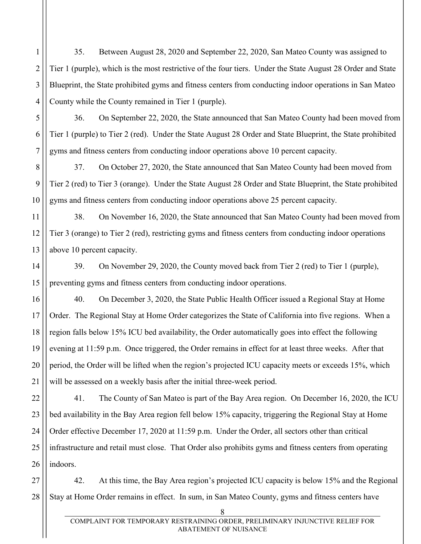35. Between August 28, 2020 and September 22, 2020, San Mateo County was assigned to Tier 1 (purple), which is the most restrictive of the four tiers. Under the State August 28 Order and State Blueprint, the State prohibited gyms and fitness centers from conducting indoor operations in San Mateo County while the County remained in Tier 1 (purple).

1

2

3

4

5

6

7

11

12

13

14

15

17

18

19

20

21

36. On September 22, 2020, the State announced that San Mateo County had been moved from Tier 1 (purple) to Tier 2 (red). Under the State August 28 Order and State Blueprint, the State prohibited gyms and fitness centers from conducting indoor operations above 10 percent capacity.

8 9 10 37. On October 27, 2020, the State announced that San Mateo County had been moved from Tier 2 (red) to Tier 3 (orange). Under the State August 28 Order and State Blueprint, the State prohibited gyms and fitness centers from conducting indoor operations above 25 percent capacity.

38. On November 16, 2020, the State announced that San Mateo County had been moved from Tier 3 (orange) to Tier 2 (red), restricting gyms and fitness centers from conducting indoor operations above 10 percent capacity.

39. On November 29, 2020, the County moved back from Tier 2 (red) to Tier 1 (purple), preventing gyms and fitness centers from conducting indoor operations.

16 40. On December 3, 2020, the State Public Health Officer issued a Regional Stay at Home Order. The Regional Stay at Home Order categorizes the State of California into five regions. When a region falls below 15% ICU bed availability, the Order automatically goes into effect the following evening at 11:59 p.m. Once triggered, the Order remains in effect for at least three weeks. After that period, the Order will be lifted when the region's projected ICU capacity meets or exceeds 15%, which will be assessed on a weekly basis after the initial three-week period.

22 23 24 25 26 41. The County of San Mateo is part of the Bay Area region. On December 16, 2020, the ICU bed availability in the Bay Area region fell below 15% capacity, triggering the Regional Stay at Home Order effective December 17, 2020 at 11:59 p.m. Under the Order, all sectors other than critical infrastructure and retail must close. That Order also prohibits gyms and fitness centers from operating indoors.

27 28 42. At this time, the Bay Area region's projected ICU capacity is below 15% and the Regional Stay at Home Order remains in effect. In sum, in San Mateo County, gyms and fitness centers have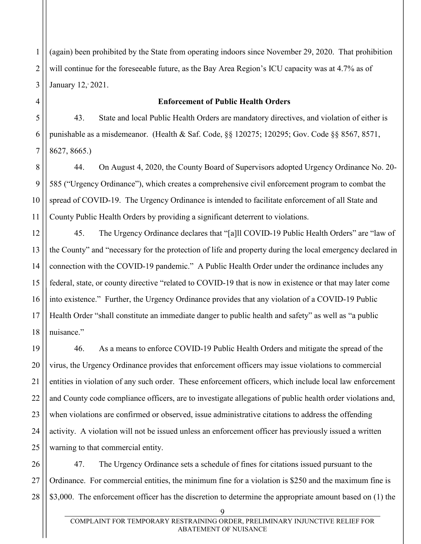2 3 (again) been prohibited by the State from operating indoors since November 29, 2020. That prohibition will continue for the foreseeable future, as the Bay Area Region's ICU capacity was at 4.7% as of January 12, 2021.

#### **Enforcement of Public Health Orders**

43. State and local Public Health Orders are mandatory directives, and violation of either is punishable as a misdemeanor. (Health & Saf. Code, §§ 120275; 120295; Gov. Code §§ 8567, 8571, 8627, 8665.)

44. On August 4, 2020, the County Board of Supervisors adopted Urgency Ordinance No. 20- 585 ("Urgency Ordinance"), which creates a comprehensive civil enforcement program to combat the spread of COVID-19. The Urgency Ordinance is intended to facilitate enforcement of all State and County Public Health Orders by providing a significant deterrent to violations.

12 13 14 15 16 17 18 45. The Urgency Ordinance declares that "[a]ll COVID-19 Public Health Orders" are "law of the County" and "necessary for the protection of life and property during the local emergency declared in connection with the COVID-19 pandemic." A Public Health Order under the ordinance includes any federal, state, or county directive "related to COVID-19 that is now in existence or that may later come into existence." Further, the Urgency Ordinance provides that any violation of a COVID-19 Public Health Order "shall constitute an immediate danger to public health and safety" as well as "a public nuisance."

19 20 21 22 23 24 25 46. As a means to enforce COVID-19 Public Health Orders and mitigate the spread of the virus, the Urgency Ordinance provides that enforcement officers may issue violations to commercial entities in violation of any such order. These enforcement officers, which include local law enforcement and County code compliance officers, are to investigate allegations of public health order violations and, when violations are confirmed or observed, issue administrative citations to address the offending activity. A violation will not be issued unless an enforcement officer has previously issued a written warning to that commercial entity.

26 27 28 47. The Urgency Ordinance sets a schedule of fines for citations issued pursuant to the Ordinance. For commercial entities, the minimum fine for a violation is \$250 and the maximum fine is \$3,000. The enforcement officer has the discretion to determine the appropriate amount based on (1) the

1

4

5

6

7

8

9

10

11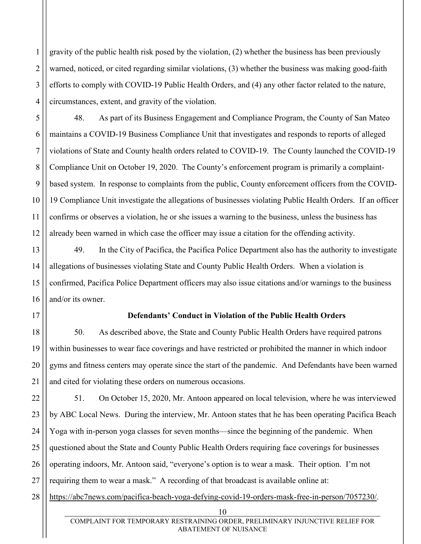2 3 4 gravity of the public health risk posed by the violation, (2) whether the business has been previously warned, noticed, or cited regarding similar violations, (3) whether the business was making good-faith efforts to comply with COVID-19 Public Health Orders, and (4) any other factor related to the nature, circumstances, extent, and gravity of the violation.

48. As part of its Business Engagement and Compliance Program, the County of San Mateo maintains a COVID-19 Business Compliance Unit that investigates and responds to reports of alleged violations of State and County health orders related to COVID-19. The County launched the COVID-19 Compliance Unit on October 19, 2020. The County's enforcement program is primarily a complaintbased system. In response to complaints from the public, County enforcement officers from the COVID-19 Compliance Unit investigate the allegations of businesses violating Public Health Orders. If an officer confirms or observes a violation, he or she issues a warning to the business, unless the business has already been warned in which case the officer may issue a citation for the offending activity.

49. In the City of Pacifica, the Pacifica Police Department also has the authority to investigate allegations of businesses violating State and County Public Health Orders. When a violation is confirmed, Pacifica Police Department officers may also issue citations and/or warnings to the business and/or its owner.

17

1

5

6

7

8

9

10

11

12

13

14

15

16

18

19

20

21

### **Defendants' Conduct in Violation of the Public Health Orders**

50. As described above, the State and County Public Health Orders have required patrons within businesses to wear face coverings and have restricted or prohibited the manner in which indoor gyms and fitness centers may operate since the start of the pandemic. And Defendants have been warned and cited for violating these orders on numerous occasions.

22 23 24 25 26 27 51. On October 15, 2020, Mr. Antoon appeared on local television, where he was interviewed by ABC Local News. During the interview, Mr. Antoon states that he has been operating Pacifica Beach Yoga with in-person yoga classes for seven months—since the beginning of the pandemic. When questioned about the State and County Public Health Orders requiring face coverings for businesses operating indoors, Mr. Antoon said, "everyone's option is to wear a mask. Their option. I'm not requiring them to wear a mask." A recording of that broadcast is available online at:

28 [https://abc7news.com/pacifica-beach-yoga-defying-covid-19-orders-mask-free-in-person/7057230/.](https://abc7news.com/pacifica-beach-yoga-defying-covid-19-orders-mask-free-in-person/7057230/)

<sup>10</sup>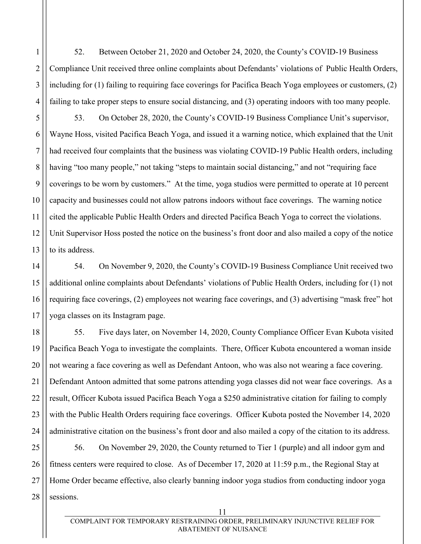52. Between October 21, 2020 and October 24, 2020, the County's COVID-19 Business Compliance Unit received three online complaints about Defendants' violations of Public Health Orders, including for (1) failing to requiring face coverings for Pacifica Beach Yoga employees or customers, (2) failing to take proper steps to ensure social distancing, and (3) operating indoors with too many people.

53. On October 28, 2020, the County's COVID-19 Business Compliance Unit's supervisor, Wayne Hoss, visited Pacifica Beach Yoga, and issued it a warning notice, which explained that the Unit had received four complaints that the business was violating COVID-19 Public Health orders, including having "too many people," not taking "steps to maintain social distancing," and not "requiring face coverings to be worn by customers." At the time, yoga studios were permitted to operate at 10 percent capacity and businesses could not allow patrons indoors without face coverings. The warning notice cited the applicable Public Health Orders and directed Pacifica Beach Yoga to correct the violations. Unit Supervisor Hoss posted the notice on the business's front door and also mailed a copy of the notice to its address.

54. On November 9, 2020, the County's COVID-19 Business Compliance Unit received two additional online complaints about Defendants' violations of Public Health Orders, including for (1) not requiring face coverings, (2) employees not wearing face coverings, and (3) advertising "mask free" hot yoga classes on its Instagram page.

55. Five days later, on November 14, 2020, County Compliance Officer Evan Kubota visited Pacifica Beach Yoga to investigate the complaints. There, Officer Kubota encountered a woman inside not wearing a face covering as well as Defendant Antoon, who was also not wearing a face covering. Defendant Antoon admitted that some patrons attending yoga classes did not wear face coverings. As a result, Officer Kubota issued Pacifica Beach Yoga a \$250 administrative citation for failing to comply with the Public Health Orders requiring face coverings. Officer Kubota posted the November 14, 2020 administrative citation on the business's front door and also mailed a copy of the citation to its address.

56. On November 29, 2020, the County returned to Tier 1 (purple) and all indoor gym and fitness centers were required to close. As of December 17, 2020 at 11:59 p.m., the Regional Stay at Home Order became effective, also clearly banning indoor yoga studios from conducting indoor yoga sessions.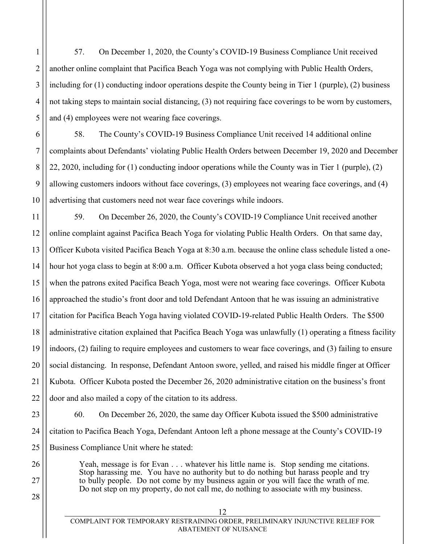57. On December 1, 2020, the County's COVID-19 Business Compliance Unit received another online complaint that Pacifica Beach Yoga was not complying with Public Health Orders, including for (1) conducting indoor operations despite the County being in Tier 1 (purple), (2) business not taking steps to maintain social distancing, (3) not requiring face coverings to be worn by customers, and (4) employees were not wearing face coverings.

1

2

3

4

5

6

7

8

9

10

26

27

28

58. The County's COVID-19 Business Compliance Unit received 14 additional online complaints about Defendants' violating Public Health Orders between December 19, 2020 and December 22, 2020, including for (1) conducting indoor operations while the County was in Tier 1 (purple), (2) allowing customers indoors without face coverings, (3) employees not wearing face coverings, and (4) advertising that customers need not wear face coverings while indoors.

11 12 13 14 15 16 17 18 19 20 21 22 59. On December 26, 2020, the County's COVID-19 Compliance Unit received another online complaint against Pacifica Beach Yoga for violating Public Health Orders. On that same day, Officer Kubota visited Pacifica Beach Yoga at 8:30 a.m. because the online class schedule listed a onehour hot yoga class to begin at 8:00 a.m. Officer Kubota observed a hot yoga class being conducted; when the patrons exited Pacifica Beach Yoga, most were not wearing face coverings. Officer Kubota approached the studio's front door and told Defendant Antoon that he was issuing an administrative citation for Pacifica Beach Yoga having violated COVID-19-related Public Health Orders. The \$500 administrative citation explained that Pacifica Beach Yoga was unlawfully (1) operating a fitness facility indoors, (2) failing to require employees and customers to wear face coverings, and (3) failing to ensure social distancing. In response, Defendant Antoon swore, yelled, and raised his middle finger at Officer Kubota. Officer Kubota posted the December 26, 2020 administrative citation on the business's front door and also mailed a copy of the citation to its address.

23 24 25 60. On December 26, 2020, the same day Officer Kubota issued the \$500 administrative citation to Pacifica Beach Yoga, Defendant Antoon left a phone message at the County's COVID-19 Business Compliance Unit where he stated:

> Yeah, message is for Evan . . . whatever his little name is. Stop sending me citations. Stop harassing me. You have no authority but to do nothing but harass people and try to bully people. Do not come by my business again or you will face the wrath of me. Do not step on my property, do not call me, do nothing to associate with my business.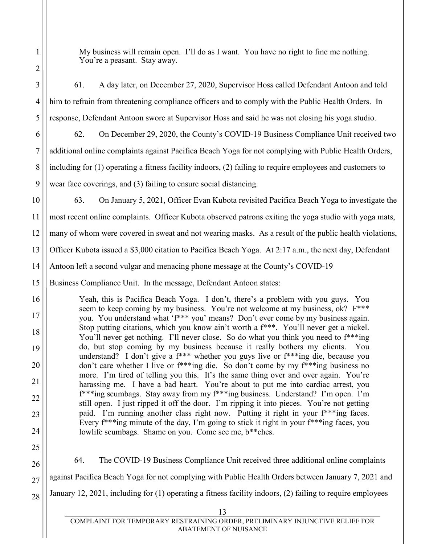My business will remain open. I'll do as I want. You have no right to fine me nothing. You're a peasant. Stay away.

3 4 5 6 7 8 9 10 11 12 13 14 15 16 17 18 19 20 21 22 23 24 25 26 27 28 13 61. A day later, on December 27, 2020, Supervisor Hoss called Defendant Antoon and told him to refrain from threatening compliance officers and to comply with the Public Health Orders. In response, Defendant Antoon swore at Supervisor Hoss and said he was not closing his yoga studio. 62. On December 29, 2020, the County's COVID-19 Business Compliance Unit received two additional online complaints against Pacifica Beach Yoga for not complying with Public Health Orders, including for (1) operating a fitness facility indoors, (2) failing to require employees and customers to wear face coverings, and (3) failing to ensure social distancing. 63. On January 5, 2021, Officer Evan Kubota revisited Pacifica Beach Yoga to investigate the most recent online complaints. Officer Kubota observed patrons exiting the yoga studio with yoga mats, many of whom were covered in sweat and not wearing masks. As a result of the public health violations, Officer Kubota issued a \$3,000 citation to Pacifica Beach Yoga. At 2:17 a.m., the next day, Defendant Antoon left a second vulgar and menacing phone message at the County's COVID-19 Business Compliance Unit. In the message, Defendant Antoon states: Yeah, this is Pacifica Beach Yoga. I don't, there's a problem with you guys. You seem to keep coming by my business. You're not welcome at my business, ok? F\*\*\* you. You understand what 'f\*\*\* you' means? Don't ever come by my business again. Stop putting citations, which you know ain't worth a f\*\*\*. You'll never get a nickel. You'll never get nothing. I'll never close. So do what you think you need to  $f^{**}$ ing do, but stop coming by my business because it really bothers my clients. You understand? I don't give a f\*\*\* whether you guys live or f\*\*\*ing die, because you don't care whether I live or f\*\*\*ing die. So don't come by my f\*\*\*ing business no more. I'm tired of telling you this. It's the same thing over and over again. You're harassing me. I have a bad heart. You're about to put me into cardiac arrest, you f\*\*\*ing scumbags. Stay away from my f\*\*\*ing business. Understand? I'm open. I'm still open. I just ripped it off the door. I'm ripping it into pieces. You're not getting paid. I'm running another class right now. Putting it right in your f\*\*\*ing faces. Every  $f^{***}$ ing minute of the day, I'm going to stick it right in your  $f^{***}$ ing faces, you lowlife scumbags. Shame on you. Come see me, b\*\*ches. 64. The COVID-19 Business Compliance Unit received three additional online complaints against Pacifica Beach Yoga for not complying with Public Health Orders between January 7, 2021 and January 12, 2021, including for (1) operating a fitness facility indoors, (2) failing to require employees

1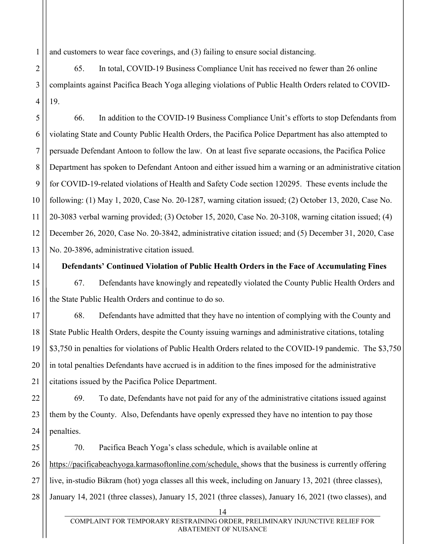1 and customers to wear face coverings, and (3) failing to ensure social distancing.

2 3 4 65. In total, COVID-19 Business Compliance Unit has received no fewer than 26 online complaints against Pacifica Beach Yoga alleging violations of Public Health Orders related to COVID-19.

5 6 7 8 9 10 11 12 13 66. In addition to the COVID-19 Business Compliance Unit's efforts to stop Defendants from violating State and County Public Health Orders, the Pacifica Police Department has also attempted to persuade Defendant Antoon to follow the law. On at least five separate occasions, the Pacifica Police Department has spoken to Defendant Antoon and either issued him a warning or an administrative citation for COVID-19-related violations of Health and Safety Code section 120295. These events include the following: (1) May 1, 2020, Case No. 20-1287, warning citation issued; (2) October 13, 2020, Case No. 20-3083 verbal warning provided; (3) October 15, 2020, Case No. 20-3108, warning citation issued; (4) December 26, 2020, Case No. 20-3842, administrative citation issued; and (5) December 31, 2020, Case No. 20-3896, administrative citation issued.

**Defendants' Continued Violation of Public Health Orders in the Face of Accumulating Fines** 67. Defendants have knowingly and repeatedly violated the County Public Health Orders and

16 the State Public Health Orders and continue to do so.

14

15

17

18

19

20

21

68. Defendants have admitted that they have no intention of complying with the County and State Public Health Orders, despite the County issuing warnings and administrative citations, totaling \$3,750 in penalties for violations of Public Health Orders related to the COVID-19 pandemic. The \$3,750 in total penalties Defendants have accrued is in addition to the fines imposed for the administrative citations issued by the Pacifica Police Department.

22 23 24 69. To date, Defendants have not paid for any of the administrative citations issued against them by the County. Also, Defendants have openly expressed they have no intention to pay those penalties.

25 26 27 28 70. Pacifica Beach Yoga's class schedule, which is available online at [https://pacificabeachyoga.karmasoftonline.com/schedule,](https://pacificabeachyoga.karmasoftonline.com/schedule) shows that the business is currently offering live, in-studio Bikram (hot) yoga classes all this week, including on January 13, 2021 (three classes), January 14, 2021 (three classes), January 15, 2021 (three classes), January 16, 2021 (two classes), and

<sup>14</sup>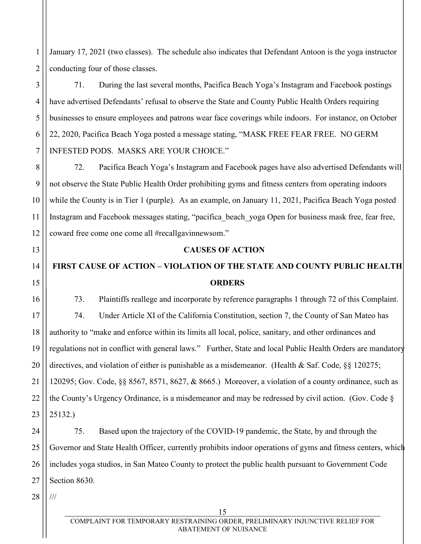2 January 17, 2021 (two classes). The schedule also indicates that Defendant Antoon is the yoga instructor conducting four of those classes.

71. During the last several months, Pacifica Beach Yoga's Instagram and Facebook postings have advertised Defendants' refusal to observe the State and County Public Health Orders requiring businesses to ensure employees and patrons wear face coverings while indoors. For instance, on October 22, 2020, Pacifica Beach Yoga posted a message stating, "MASK FREE FEAR FREE. NO GERM INFESTED PODS. MASKS ARE YOUR CHOICE."

72. Pacifica Beach Yoga's Instagram and Facebook pages have also advertised Defendants will not observe the State Public Health Order prohibiting gyms and fitness centers from operating indoors while the County is in Tier 1 (purple). As an example, on January 11, 2021, Pacifica Beach Yoga posted Instagram and Facebook messages stating, "pacifica beach yoga Open for business mask free, fear free, coward free come one come all #recallgavinnewsom."

### **CAUSES OF ACTION**

# **FIRST CAUSE OF ACTION – VIOLATION OF THE STATE AND COUNTY PUBLIC HEALTH ORDERS**

73. Plaintiffs reallege and incorporate by reference paragraphs 1 through 72 of this Complaint. 74. Under Article XI of the California Constitution, section 7, the County of San Mateo has authority to "make and enforce within its limits all local, police, sanitary, and other ordinances and regulations not in conflict with general laws." Further, State and local Public Health Orders are mandatory directives, and violation of either is punishable as a misdemeanor. (Health & Saf. Code, §§ 120275; 120295; Gov. Code, §§ 8567, 8571, 8627, & 8665.) Moreover, a violation of a county ordinance, such as the County's Urgency Ordinance, is a misdemeanor and may be redressed by civil action. (Gov. Code § 25132.)

24 25 26 27 75. Based upon the trajectory of the COVID-19 pandemic, the State, by and through the Governor and State Health Officer, currently prohibits indoor operations of gyms and fitness centers, which includes yoga studios, in San Mateo County to protect the public health pursuant to Government Code Section 8630.

28 ///

1

3

4

5

6

7

8

9

10

11

12

13

14

15

16

17

18

19

20

21

22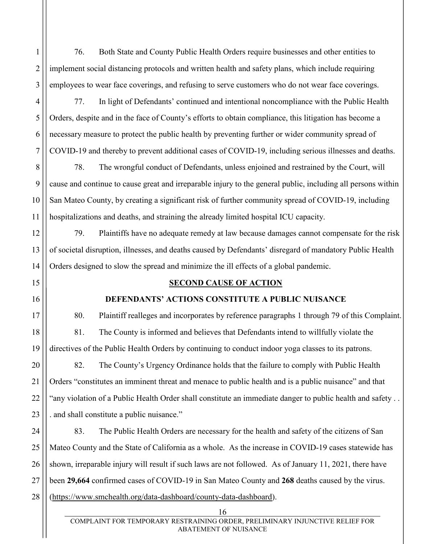76. Both State and County Public Health Orders require businesses and other entities to implement social distancing protocols and written health and safety plans, which include requiring employees to wear face coverings, and refusing to serve customers who do not wear face coverings.

77. In light of Defendants' continued and intentional noncompliance with the Public Health Orders, despite and in the face of County's efforts to obtain compliance, this litigation has become a necessary measure to protect the public health by preventing further or wider community spread of COVID-19 and thereby to prevent additional cases of COVID-19, including serious illnesses and deaths.

78. The wrongful conduct of Defendants, unless enjoined and restrained by the Court, will cause and continue to cause great and irreparable injury to the general public, including all persons within San Mateo County, by creating a significant risk of further community spread of COVID-19, including hospitalizations and deaths, and straining the already limited hospital ICU capacity.

79. Plaintiffs have no adequate remedy at law because damages cannot compensate for the risk of societal disruption, illnesses, and deaths caused by Defendants' disregard of mandatory Public Health Orders designed to slow the spread and minimize the ill effects of a global pandemic.

# **SECOND CAUSE OF ACTION**

# **DEFENDANTS' ACTIONS CONSTITUTE A PUBLIC NUISANCE**

80. Plaintiff realleges and incorporates by reference paragraphs 1 through 79 of this Complaint. 81. The County is informed and believes that Defendants intend to willfully violate the directives of the Public Health Orders by continuing to conduct indoor yoga classes to its patrons.

82. The County's Urgency Ordinance holds that the failure to comply with Public Health Orders "constitutes an imminent threat and menace to public health and is a public nuisance" and that "any violation of a Public Health Order shall constitute an immediate danger to public health and safety . . . and shall constitute a public nuisance."

24 25 26 28 83. The Public Health Orders are necessary for the health and safety of the citizens of San Mateo County and the State of California as a whole. As the increase in COVID-19 cases statewide has shown, irreparable injury will result if such laws are not followed. As of January 11, 2021, there have been **29,664** confirmed cases of COVID-19 in San Mateo County and **268** deaths caused by the virus. [\(https://www.smchealth.org/data-dashboard/county-data-dashboard\)](https://www.smchealth.org/data-dashboard/county-data-dashboard).

1

2

3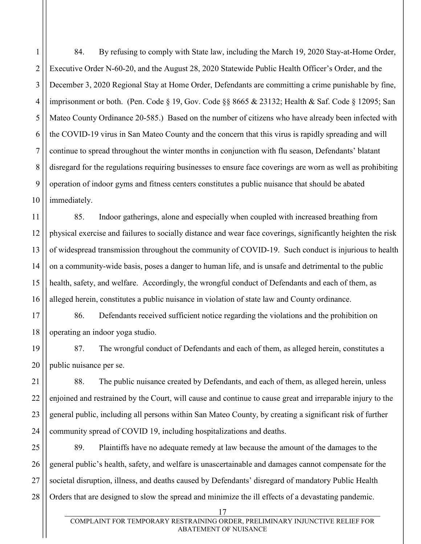1 2 3 4 5 6 7 8 9 10 84. By refusing to comply with State law, including the March 19, 2020 Stay-at-Home Order, Executive Order N-60-20, and the August 28, 2020 Statewide Public Health Officer's Order, and the December 3, 2020 Regional Stay at Home Order, Defendants are committing a crime punishable by fine, imprisonment or both. (Pen. Code § 19, Gov. Code §§ 8665 & 23132; Health & Saf. Code § 12095; San Mateo County Ordinance 20-585.) Based on the number of citizens who have already been infected with the COVID-19 virus in San Mateo County and the concern that this virus is rapidly spreading and will continue to spread throughout the winter months in conjunction with flu season, Defendants' blatant disregard for the regulations requiring businesses to ensure face coverings are worn as well as prohibiting operation of indoor gyms and fitness centers constitutes a public nuisance that should be abated immediately.

11 12 13 14 15 16 85. Indoor gatherings, alone and especially when coupled with increased breathing from physical exercise and failures to socially distance and wear face coverings, significantly heighten the risk of widespread transmission throughout the community of COVID-19. Such conduct is injurious to health on a community-wide basis, poses a danger to human life, and is unsafe and detrimental to the public health, safety, and welfare. Accordingly, the wrongful conduct of Defendants and each of them, as alleged herein, constitutes a public nuisance in violation of state law and County ordinance.

17 18 86. Defendants received sufficient notice regarding the violations and the prohibition on operating an indoor yoga studio.

19

20 87. The wrongful conduct of Defendants and each of them, as alleged herein, constitutes a public nuisance per se.

21 22 23 24 88. The public nuisance created by Defendants, and each of them, as alleged herein, unless enjoined and restrained by the Court, will cause and continue to cause great and irreparable injury to the general public, including all persons within San Mateo County, by creating a significant risk of further community spread of COVID 19, including hospitalizations and deaths.

25 26 27 28 89. Plaintiffs have no adequate remedy at law because the amount of the damages to the general public's health, safety, and welfare is unascertainable and damages cannot compensate for the societal disruption, illness, and deaths caused by Defendants' disregard of mandatory Public Health Orders that are designed to slow the spread and minimize the ill effects of a devastating pandemic.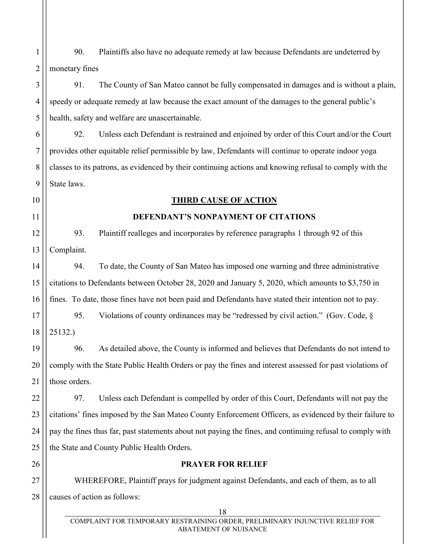1 2 90. Plaintiffs also have no adequate remedy at law because Defendants are undeterred by monetary fines

3

4

5

6

7

8

10

11

26

# 91. The County of San Mateo cannot be fully compensated in damages and is without a plain, speedy or adequate remedy at law because the exact amount of the damages to the general public's health, safety and welfare are unascertainable.

9 92. Unless each Defendant is restrained and enjoined by order of this Court and/or the Court provides other equitable relief permissible by law, Defendants will continue to operate indoor yoga classes to its patrons, as evidenced by their continuing actions and knowing refusal to comply with the State laws.

### **THIRD CAUSE OF ACTION**

### **DEFENDANT'S NONPAYMENT OF CITATIONS**

12 13 93. Plaintiff realleges and incorporates by reference paragraphs 1 through 92 of this Complaint.

14 15 16 94. To date, the County of San Mateo has imposed one warning and three administrative citations to Defendants between October 28, 2020 and January 5, 2020, which amounts to \$3,750 in fines. To date, those fines have not been paid and Defendants have stated their intention not to pay.

17 18 95. Violations of county ordinances may be "redressed by civil action." (Gov. Code, § 25132.)

19 20 21 96. As detailed above, the County is informed and believes that Defendants do not intend to comply with the State Public Health Orders or pay the fines and interest assessed for past violations of those orders.

22 23 24 25 97. Unless each Defendant is compelled by order of this Court, Defendants will not pay the citations' fines imposed by the San Mateo County Enforcement Officers, as evidenced by their failure to pay the fines thus far, past statements about not paying the fines, and continuing refusal to comply with the State and County Public Health Orders.

### **PRAYER FOR RELIEF**

27 28 WHEREFORE, Plaintiff prays for judgment against Defendants, and each of them, as to all causes of action as follows: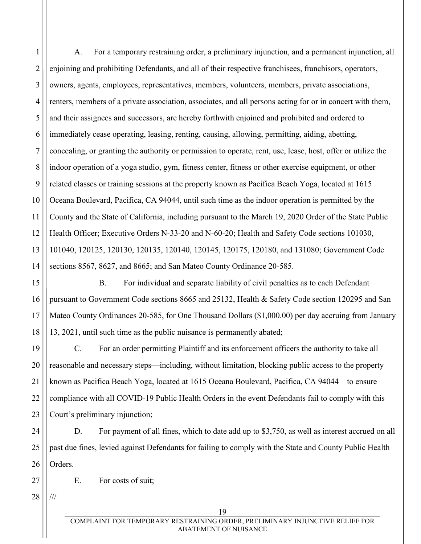2 3 4 5 6 7 8 9 10 11 12 13 14 A. For a temporary restraining order, a preliminary injunction, and a permanent injunction, all enjoining and prohibiting Defendants, and all of their respective franchisees, franchisors, operators, owners, agents, employees, representatives, members, volunteers, members, private associations, renters, members of a private association, associates, and all persons acting for or in concert with them, and their assignees and successors, are hereby forthwith enjoined and prohibited and ordered to immediately cease operating, leasing, renting, causing, allowing, permitting, aiding, abetting, concealing, or granting the authority or permission to operate, rent, use, lease, host, offer or utilize the indoor operation of a yoga studio, gym, fitness center, fitness or other exercise equipment, or other related classes or training sessions at the property known as Pacifica Beach Yoga, located at 1615 Oceana Boulevard, Pacifica, CA 94044, until such time as the indoor operation is permitted by the County and the State of California, including pursuant to the March 19, 2020 Order of the State Public Health Officer; Executive Orders N-33-20 and N-60-20; Health and Safety Code sections 101030, 101040, 120125, 120130, 120135, 120140, 120145, 120175, 120180, and 131080; Government Code sections 8567, 8627, and 8665; and San Mateo County Ordinance 20-585.

15 16 17 18 B. For individual and separate liability of civil penalties as to each Defendant pursuant to Government Code sections 8665 and 25132, Health & Safety Code section 120295 and San Mateo County Ordinances 20-585, for One Thousand Dollars (\$1,000.00) per day accruing from January 13, 2021, until such time as the public nuisance is permanently abated;

19 20 21 22 23 C. For an order permitting Plaintiff and its enforcement officers the authority to take all reasonable and necessary steps—including, without limitation, blocking public access to the property known as Pacifica Beach Yoga, located at 1615 Oceana Boulevard, Pacifica, CA 94044—to ensure compliance with all COVID-19 Public Health Orders in the event Defendants fail to comply with this Court's preliminary injunction;

24 25 26 D. For payment of all fines, which to date add up to \$3,750, as well as interest accrued on all past due fines, levied against Defendants for failing to comply with the State and County Public Health Orders.

E. For costs of suit;

28 ///

27